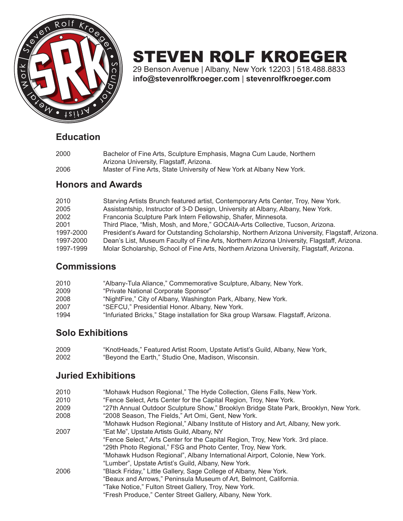

# STEVEN ROLF KROEGER

29 Benson Avenue | Albany, New York 12203 | 518.488.8833 **info@stevenrolfkroeger.com** | **stevenrolfkroeger.com**

#### **Education**

| 2000 | Bachelor of Fine Arts, Sculpture Emphasis, Magna Cum Laude, Northern  |
|------|-----------------------------------------------------------------------|
|      | Arizona University, Flagstaff, Arizona.                               |
| 2006 | Master of Fine Arts, State University of New York at Albany New York. |

#### **Honors and Awards**

| 2010      | Starving Artists Brunch featured artist, Contemporary Arts Center, Troy, New York.              |
|-----------|-------------------------------------------------------------------------------------------------|
| 2005      | Assistantship, Instructor of 3-D Design, University at Albany, Albany, New York.                |
| 2002      | Franconia Sculpture Park Intern Fellowship, Shafer, Minnesota.                                  |
| 2001      | Third Place, "Mish, Mosh, and More," GOCAIA-Arts Collective, Tucson, Arizona.                   |
| 1997-2000 | President's Award for Outstanding Scholarship, Northern Arizona University, Flagstaff, Arizona. |
| 1997-2000 | Dean's List, Museum Faculty of Fine Arts, Northern Arizona University, Flagstaff, Arizona.      |
| 1997-1999 | Molar Scholarship, School of Fine Arts, Northern Arizona University, Flagstaff, Arizona.        |
|           |                                                                                                 |

#### **Commissions**

| 2010 | "Albany-Tula Aliance," Commemorative Sculpture, Albany, New York.                 |
|------|-----------------------------------------------------------------------------------|
| 2009 | "Private National Corporate Sponsor"                                              |
| 2008 | "NightFire," City of Albany, Washington Park, Albany, New York.                   |
| 2007 | "SEFCU," Presidential Honor. Albany, New York.                                    |
| 1994 | "Infuriated Bricks," Stage installation for Ska group Warsaw. Flagstaff, Arizona. |

#### **Solo Exhibitions**

| 2009 | "KnotHeads," Featured Artist Room, Upstate Artist's Guild, Albany, New York, |
|------|------------------------------------------------------------------------------|
| 2002 | "Beyond the Earth," Studio One, Madison, Wisconsin.                          |

#### **Juried Exhibitions**

| 2010<br>"Mohawk Hudson Regional," The Hyde Collection, Glens Falls, New York. |  |
|-------------------------------------------------------------------------------|--|
|-------------------------------------------------------------------------------|--|

- 2010 "Fence Select, Arts Center for the Capital Region, Troy, New York.
- 2009 "27th Annual Outdoor Sculpture Show," Brooklyn Bridge State Park, Brooklyn, New York.
- 2008 "2008 Season, The Fields," Art Omi, Gent, New York.
- "Mohawk Hudson Regional," Albany Institute of History and Art, Albany, New york. 2007 "Eat Me", Upstate Artists Guild, Albany, NY

 "Fence Select," Arts Center for the Capital Region, Troy, New York. 3rd place. "29th Photo Regional," FSG and Photo Center, Troy, New York. "Mohawk Hudson Regional", Albany International Airport, Colonie, New York. "Lumber", Upstate Artist's Guild, Albany, New York.

2006 "Black Friday," Little Gallery, Sage College of Albany, New York. "Beaux and Arrows," Peninsula Museum of Art, Belmont, California. "Take Notice," Fulton Street Gallery, Troy, New York. "Fresh Produce," Center Street Gallery, Albany, New York.